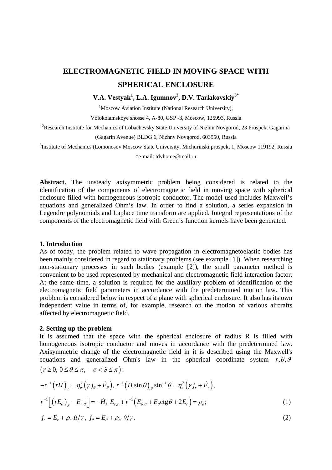# **ELECTROMAGNETIC FIELD IN MOVING SPACE WITH SPHERICAL ENCLOSURE**

## **V.A. Vestyak<sup>1</sup> , L.A. Igumnov2 , D.V. Tarlakovskiy3\***

<sup>1</sup>Moscow Aviation Institute (National Research University),

Volokolamskoye shosse 4, А-80, GSP -3, Moscow, 125993, Russia

<sup>2</sup>Research Institute for Mechanics of Lobachevsky State University of Nizhni Novgorod, 23 Prospekt Gagarina

(Gagarin Avenue) BLDG 6, Nizhny Novgorod, 603950, Russia

<sup>3</sup>Institute of Mechanics (Lomonosov Moscow State University, Michurinski prospekt 1, Moscow 119192, Russia

\*e-mail: [tdvhome@mail.ru](mailto:tdvhome@mail.ru)

**Abstract.** The unsteady axisymmetric problem being considered is related to the identification of the components of electromagnetic field in moving space with spherical enclosure filled with homogeneous isotropic conductor. The model used includes Maxwell's equations and generalized Ohm's law. In order to find a solution, a series expansion in Legendre polynomials and Laplace time transform are applied. Integral representations of the components of the electromagnetic field with Green's function kernels have been generated.

#### **1. Introduction**

As of today, the problem related to wave propagation in electromagnetoelastic bodies has been mainly considered in regard to stationary problems (see example [1]). When researching non-stationary processes in such bodies (example [2]), the small parameter method is convenient to be used represented by mechanical and electromagnetic field interaction factor. At the same time, a solution is required for the auxiliary problem of identification of the electromagnetic field parameters in accordance with the predetermined motion law. This problem is considered below in respect of a plane with spherical enclosure. It also has its own independent value in terms of, for example, research on the motion of various aircrafts affected by electromagnetic field.

### **2. Setting up the problem**

It is assumed that the space with the spherical enclosure of radius R is filled with homogeneous isotropic conductor and moves in accordance with the predetermined law. Axisymmetric change of the electromagnetic field in it is described using the Maxwell's equations and generalized Ohm's law in the spherical coordinate system  $r, \theta, \theta$  $(r \geq 0, 0 \leq \theta \leq \pi, -\pi < \theta \leq \pi)$ :

$$
-r^{-1}(rH)_{,r} = \eta_e^2(\gamma j_\theta + \dot{E}_\theta), r^{-1}(H \sin \theta)_{,\theta} \sin^{-1} \theta = \eta_e^2(\gamma j_r + \dot{E}_r),
$$
  

$$
r^{-1}[(rE_\theta)_{,r} - E_{r,\theta}] = -\dot{H}, E_{r,r} + r^{-1}(E_{\theta,\theta} + E_\theta \cos \theta + 2E_r) = \rho_e;
$$
 (1)

$$
j_r = E_r + \rho_{e0} \dot{u} / \gamma, \ j_\theta = E_\theta + \rho_{e0} \dot{v} / \gamma. \tag{2}
$$

© 2015, Institute of Problems of Mechanical Engineering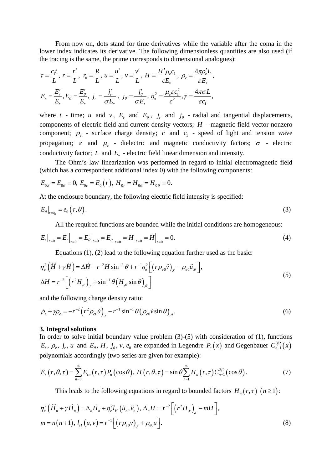From now on, dots stand for time derivatives while the variable after the coma in the lower index indicates its derivative. The following dimensionless quantities are also used (if the tracing is the same, the prime corresponds to dimensional analogues):

$$
\tau = \frac{c_1 t}{L}, \ r = \frac{r'}{L}, \ r_0 = \frac{R}{L}, \ u = \frac{u'}{L}, \ v = \frac{v'}{L}, \ H = \frac{H'\mu_e c_1}{cE_*}, \ \rho_e = \frac{4\pi \rho'_e L}{\varepsilon E_*},
$$

$$
E_r = \frac{E'_r}{E_*}, E_\theta = \frac{E'_\theta}{E_*}, \ j_r = \frac{j'_r}{\sigma E_*}, \ j_\theta = \frac{j'_\theta}{\sigma E_*}, \ \eta_e^2 = \frac{\mu_e \varepsilon c_1^2}{c^2}, \gamma = \frac{4\pi \sigma L}{\varepsilon c_1},
$$

where *t* - time; *u* and *v*,  $E_r$  and  $E_\theta$ ,  $j_r$  and  $j_\theta$  - radial and tangential displacements, components of electric field and current density vectors; *H* - magnetic field vector nonzero component;  $\rho_e$  - surface charge density; *c* and  $c_1$  - speed of light and tension wave propagation;  $\varepsilon$  and  $\mu$ <sub>e</sub> - dielectric and magnetic conductivity factors;  $\sigma$  - electric conductivity factor; *L* and *E*∗ - electric field linear dimension and intensity.

The Ohm's law linearization was performed in regard to initial electromagnetic field (which has a correspondent additional index 0) with the following components:

$$
E_{0\theta} = E_{0\theta} \equiv 0, \ E_{0r} = E_0(r), \ H_{0r} = H_{0\theta} = H_{0\theta} \equiv 0.
$$

At the enclosure boundary, the following electric field intensity is specified:

$$
E_{\theta}|_{r=r_0}=e_0(\tau,\theta). \tag{3}
$$

All the required functions are bounded while the initial conditions are homogeneous:

$$
E_r\big|_{\tau=0} = \dot{E}_r\big|_{\tau=0} = E_\theta\big|_{\tau=0} = \dot{E}_\theta\big|_{\tau=0} = H\big|_{\tau=0} = \dot{H}\big|_{\tau=0} = 0.
$$
 (4)

Equations (1), (2) lead to the following equation further used as the basic:

$$
\eta_e^2 \left( \ddot{H} + \gamma \ddot{H} \right) = \Delta \dot{H} - r^{-2} \dot{H} \sin^{-2} \theta + r^{-1} \eta_e^2 \left[ \left( r \rho_{e0} \ddot{v} \right)_r - \rho_{e0} \ddot{u}_{,\theta} \right],
$$
  
\n
$$
\Delta H = r^{-2} \left[ \left( r^2 H_{,r} \right)_r + \sin^{-1} \theta \left( H_{,\theta} \sin \theta \right)_\theta \right]
$$
\n(5)

and the following charge density ratio:

$$
\dot{\rho}_e + \gamma \rho_e = -r^{-2} \left( r^2 \rho_{e0} \dot{u} \right)_{,r} - r^{-1} \sin^{-1} \theta \left( \rho_{e0} \dot{v} \sin \theta \right)_{,0} . \tag{6}
$$

#### **3. Integral solutions**

In order to solve initial boundary value problem  $(3)-(5)$  with consideration of  $(1)$ , functions  $E_r$ ,  $\rho_e$ ,  $j_r$ , *u* and  $E_\theta$ , *H*,  $j_\theta$ , *v*,  $e_0$  are expanded in Legendre  $P_n(x)$  and Gegenbauer  $C_{n-1}^{3/2}(x)$ polynomials accordingly (two series are given for example):

$$
E_r(r,\theta,\tau) = \sum_{n=0}^{\infty} E_m(r,\tau) P_n(\cos\theta), H(r,\theta,\tau) = \sin\theta \sum_{n=1}^{\infty} H_n(r,\tau) C_{n-1}^{3/2}(\cos\theta).
$$
 (7)

This leads to the following equations in regard to bounded factors  $H_n(r, \tau)$   $(n \ge 1)$ :

$$
\eta_e^2 (\ddot{H}_n + \gamma \ddot{H}_n) = \Delta_n \dot{H}_n + \eta_e^2 l_H (\ddot{u}_n, \ddot{v}_n), \Delta_n H = r^{-2} \Big[ \Big( r^2 H_{,r} \Big)_{,r} - mH \Big],
$$
  
\n
$$
m = n(n+1), l_H (u, v) = r^{-1} \Big[ \Big( r \rho_{e0} v \Big)_{,r} + \rho_{e0} u \Big].
$$
\n(8)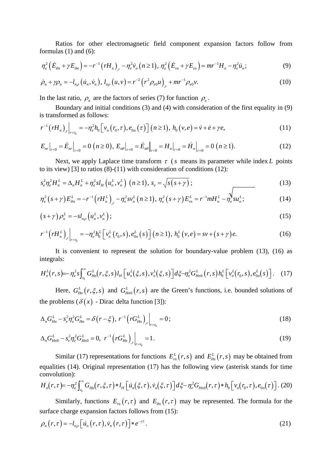#### **ELECTROMAGNETIC FIEL** D IN MOVING SPACE WI **TH SPHERICAL ENCLOSURE**

V.A. Vestvak <sup>1</sup>, L.A. Igumnov <sup>2</sup>, D.V. Tarlakovskiv  $3^*$ 

<sup>1</sup>Moscow Aviation Institute (National Research University),

Volokolamskoye shosse 4, -80, GSP -3, Moscow, 125993, Russia

<sup>2</sup>Research Institute for Mechanics of Lobachevsky State University of Nizhni Novgorod, 23 Prospekt Gagarina

(Gagarin Avenue) BLDG 6, Nizhny Novgorod, 603950, Russia

<sup>3</sup>Institute of Mechanics (Lomonosov Moscow State University, Michurinski prospekt 1, Moscow 119192, Russia

\*e-mail: tdyhome@mail.ru

Abstract. The unsteady axisymmetric problem being considered is related to the identification of the components of electromagnetic field in moving space with spherical enclosure filled with homogeneous isotropic conductor. The model used includes Maxwell's equations and generalized Ohm's law. In order to find a solution, a series expansion in Legendre polynomials and Laplace time transform are applied. Integral representations of the components of the electromagnetic field with Green's function kernels have been generated.

#### 1. Introduction

As of today, the problem related to wave propagation in electromagnetoelastic bodies has been mainly considered in regard to stationary problems (see example [1]). When researching non-stationary processes in such bodies (example [2]), the small parameter method is convenient to be used represented by mechanical and electromagnetic field interaction factor. At the same time, a solution is required for the auxiliary problem of identification of the electromagnetic field parameters in accordance with the predetermined motion law. This problem is considered below in respect of a plane with spherical enclosure. It also has its own independent value in terms of, for example, research on the motion of various aircrafts affected by electromagnetic field.

### 2. Setting up the problem

 $r = 0.0$ 

It is assumed that the space with the spherical enclosure of radius R is filled with homogeneous isotropic conductor and moves in accordance with the predetermined law. Axisymmetric change of the electromagnetic field in it is described using the Maxwell's equations and generalized Ohm's law in the spherical coordinate system r, ,

$$
r^{1} rH_{r}^{2} \quad j \quad E_{r}^{1} rH \sin \left( \sin^{1} \frac{2}{e} \right) r_{r}^{2} F_{r},
$$
\n
$$
r^{1} rE_{r}^{2} \quad E_{r}^{2} \quad H_{r} E_{r,r}^{1} \quad E_{r}^{1} \quad E_{r} \quad E_{r} \quad E_{r} \quad (1)
$$
\n
$$
j_{r}^{1} \quad E_{r}^{1} \quad e_{0} u/ r, j \quad E_{r}^{1} \quad e_{0} v/ r.
$$
\n
$$
(2)
$$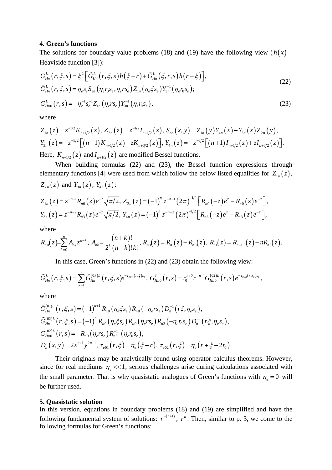#### **4. Green's functions**

The solutions for boundary-value problems (18) and (19) have the following view  $(h(x))$  -Heaviside function [3]):

$$
G_{Hn}^{L}(r, \xi, s) = \xi^{2} \Big[ \tilde{G}_{Hn}^{L}(r, \xi, s) h(\xi - r) + \tilde{G}_{Hn}^{L}(\xi, r, s) h(r - \xi) \Big],
$$
  
\n
$$
\tilde{G}_{Hn}^{L}(r, \xi, s) = \eta_{e} s_{e} S_{en} (\eta_{e} r_{0} s_{e}, \eta_{e} r s_{e}) Z_{1n} (\eta_{e} \xi s_{e}) Y_{3n}^{-1} (\eta_{e} r_{0} s_{e});
$$
  
\n
$$
G_{Hn0}^{L}(r, s) = -\eta_{e}^{-1} s_{e}^{-1} Z_{1n} (\eta_{e} r s_{e}) Y_{3n}^{-1} (\eta_{e} r_{0} s_{e}),
$$
\n(23)

where

$$
Z_{1n}(z) = z^{-1/2} K_{n+1/2}(z), Z_{2n}(z) = z^{-1/2} I_{n+1/2}(z), S_{en}(x, y) = Z_{1n}(y) Y_{4n}(x) - Y_{3n}(x) Z_{2n}(y),
$$
  
\n
$$
Y_{3n}(z) = -z^{-3/2} \Big[ (n+1) K_{n+1/2}(z) - z K_{n+3/2}(z) \Big], Y_{4n}(z) = -z^{-3/2} \Big[ (n+1) I_{n+1/2}(z) + z I_{n+3/2}(z) \Big].
$$
  
\nHence,  $K_{n+1/2}(z)$  and  $I_{n+1/2}(z)$  are mediated Pascal functions.

Here,  $K_{n+1/2}(z)$  and  $I_{n+1/2}(z)$  are modified Bessel functions.

When building formulas (22) and (23), the Bessel function expressions through elementary functions [4] were used from which follow the below listed equalities for  $Z_{1n}(z)$ ,  $Z_{2n}(z)$  and  $Y_{3n}(z)$ ,  $Y_{4n}(z)$ :

$$
Z_{1n}(z) = z^{-n-1} R_{n0}(z) e^{-z} \sqrt{\pi/2}, Z_{2n}(z) = (-1)^n z^{-n-1} (2\pi)^{-1/2} \Big[ R_{n0}(-z) e^{z} - R_{n0}(z) e^{-z} \Big],
$$
  
\n
$$
Y_{3n}(z) = z^{-n-2} R_{n3}(z) e^{-z} \sqrt{\pi/2}, Y_{4n}(z) = (-1)^n z^{-n-2} (2\pi)^{-1/2} \Big[ R_{n3}(-z) e^{z} - R_{n3}(z) e^{-z} \Big],
$$

where

$$
R_{n0}(z) = \sum_{k=0}^{n} A_{nk} z^{n-k}, A_{nk} = \frac{(n+k)!}{2^{k} (n-k)! k!}, R_{n3}(z) = R_{n1}(z) - R_{n0}(z), R_{n1}(z) = R_{n+1,0}(z) - nR_{n0}(z).
$$

In this case, Green's functions in (22) and (23) obtain the following view:

$$
\tilde{G}_{Hn}^{L}(r,\xi,s)=\sum_{k=1}^{2}\tilde{G}_{Hn}^{(0k)L}(r,\xi,s)e^{-\tau_{e0k}(r,\xi)s_{e}},\ G_{Hn0}^{L}(r,s)=r_{0}^{n+2}r^{-n-1}G_{Hn0}^{(02)L}(r,s)e^{-\tau_{e02}(r,r_{0})s_{e}},
$$

where

$$
\tilde{G}_{Hn}^{(01)L}(r,\xi,s) = (-1)^{n+1} R_{n0} (\eta_e \xi s_e) R_{n0} (-\eta_e r s_e) D_n^{-1} (r \xi, \eta_e s_e),
$$
  
\n
$$
\tilde{G}_{Hn}^{(02)L}(r,\xi,s) = (-1)^n R_{n0} (\eta_e \xi s_e) R_{n0} (\eta_e r s_e) R_{n3} (-\eta_e r_0 s_e) D_n^{-1} (r \xi, \eta_e s_e),
$$
  
\n
$$
G_{Hn0}^{(02)L}(r,s) = -R_{n0} (\eta_e r s_e) R_{n3}^{-1} (\eta_e r_0 s_e),
$$
  
\n
$$
D_n (x,y) = 2x^{n+1} y^{2n+1}, \tau_{e01} (r,\xi) = \eta_e (\xi - r), \tau_{e02} (r,\xi) = \eta_e (r + \xi - 2r_0).
$$

Their originals may be analytically found using operator calculus theorems. However, since for real mediums  $\eta_e \ll 1$ , serious challenges arise during calculations associated with the small parameter. That is why quasistatic analogues of Green's functions with  $\eta_e = 0$  will be further used.

#### **5. Quasistatic solution**

In this version, equations in boundary problems (18) and (19) are simplified and have the following fundamental system of solutions:  $r^{-(n+1)}$ ,  $r^n$ . Then, similar to p. 3, we come to the following formulas for Green's functions: